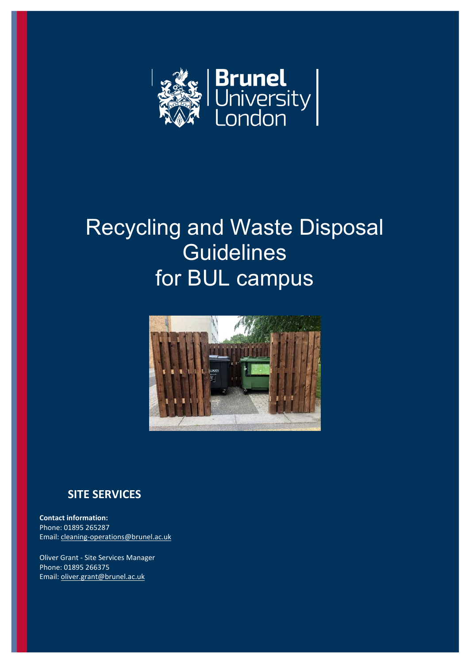

## Recycling and Waste Disposal **Guidelines** for BUL campus



## **SITE SERVICES**

**Contact information:** Phone: 01895 265287 Email: [cleaning-operations@brunel.ac.uk](mailto:cleaning-operations@brunel.ac.uk)

Oliver Grant - Site Services Manager Phone: 01895 266375 Email: [oliver.grant@brunel.ac.uk](mailto:oliver.grant@brunel.ac.uk)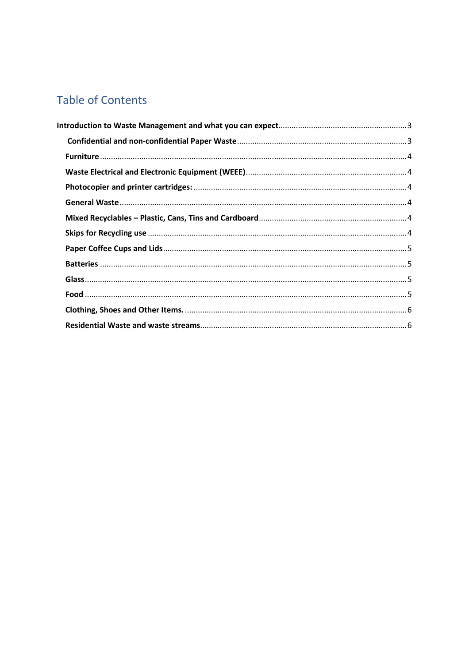## **Table of Contents**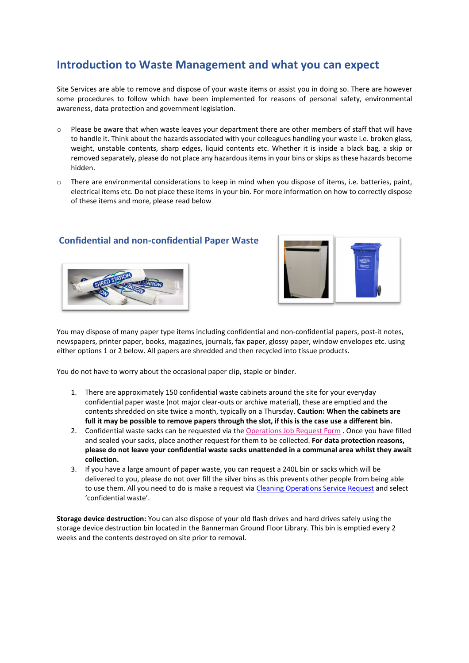### <span id="page-2-0"></span>**Introduction to Waste Management and what you can expect**

Site Services are able to remove and dispose of your waste items or assist you in doing so. There are however some procedures to follow which have been implemented for reasons of personal safety, environmental awareness, data protection and government legislation.

- o Please be aware that when waste leaves your department there are other members of staff that will have to handle it. Think about the hazards associated with your colleagues handling your waste i.e. broken glass, weight, unstable contents, sharp edges, liquid contents etc. Whether it is inside a black bag, a skip or removed separately, please do not place any hazardous items in your bins or skips as these hazards become hidden.
- o There are environmental considerations to keep in mind when you dispose of items, i.e. batteries, paint, electrical items etc. Do not place these items in your bin. For more information on how to correctly dispose of these items and more, please read below



#### <span id="page-2-1"></span>**Confidential and non-confidential Paper Waste**



You may dispose of many paper type items including confidential and non-confidential papers, post-it notes, newspapers, printer paper, books, magazines, journals, fax paper, glossy paper, window envelopes etc. using either options 1 or 2 below. All papers are shredded and then recycled into tissue products.

You do not have to worry about the occasional paper clip, staple or binder.

- 1. There are approximately 150 confidential waste cabinets around the site for your everyday confidential paper waste (not major clear-outs or archive material), these are emptied and the contents shredded on site twice a month, typically on a Thursday. **Caution: When the cabinets are full it may be possible to remove papers through the slot, if this is the case use a different bin.**
- 2. Confidential waste sacks can be requested via the [Operations Job Request Form](https://intra.brunel.ac.uk/s/operations/booking-system/Pages/default.aspx) . Once you have filled and sealed your sacks, place another request for them to be collected. **For data protection reasons, please do not leave your confidential waste sacks unattended in a communal area whilst they await collection.**
- 3. If you have a large amount of paper waste, you can request a 240L bin or sacks which will be delivered to you, please do not over fill the silver bins as this prevents other people from being able to use them. All you need to do is make a request via [Cleaning Operations Service Request](https://brunel-prod.planoncloud.com/) and select 'confidential waste'.

**Storage device destruction:** You can also dispose of your old flash drives and hard drives safely using the storage device destruction bin located in the Bannerman Ground Floor Library. This bin is emptied every 2 weeks and the contents destroyed on site prior to removal.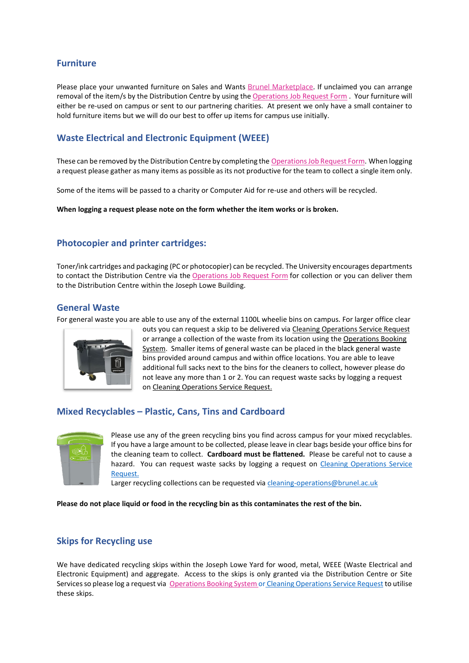#### <span id="page-3-0"></span>**Furniture**

Please place your unwanted furniture on Sales and Wants **[Brunel Marketplace](https://web.yammer.com/main/groups/eyJfdHlwZSI6Ikdyb3VwIiwiaWQiOiI2MDM4NTc4NzkwNCJ9/new).** If unclaimed you can arrange removal of the item/s by the Distribution Centre by using th[e Operations Job Request Form](https://intra.brunel.ac.uk/s/operations/booking-system/Pages/default.aspx) . Your furniture will either be re-used on campus or sent to our partnering charities. At present we only have a small container to hold furniture items but we will do our best to offer up items for campus use initially.

#### <span id="page-3-1"></span>**Waste Electrical and Electronic Equipment (WEEE)**

These can be removed by the Distribution Centre by completing the [Operations Job Request Form.](https://intra.brunel.ac.uk/s/operations/booking-system/Pages/default.aspx) When logging a request please gather as many items as possible as its not productive for the team to collect a single item only.

Some of the items will be passed to a charity or Computer Aid for re-use and others will be recycled.

**When logging a request please note on the form whether the item works or is broken.** 

#### <span id="page-3-2"></span>**Photocopier and printer cartridges:**

Toner/ink cartridges and packaging (PC or photocopier) can be recycled. The University encourages departments to contact the Distribution Centre via the [Operations Job Request Form](https://intra.brunel.ac.uk/s/operations/booking-system/Pages/default.aspx) for collection or you can deliver them to the Distribution Centre within the Joseph Lowe Building.

#### <span id="page-3-3"></span>**General Waste**

For general waste you are able to use any of the external 1100L wheelie bins on campus. For larger office clear



outs you can request a skip to be delivered via [Cleaning Operations Service Request](https://brunel-prod.planoncloud.com/) or arrange a collection of the waste from its location using th[e Operations Booking](https://intra.brunel.ac.uk/s/operations/booking-system/Pages/default.aspx)  [System.](https://intra.brunel.ac.uk/s/operations/booking-system/Pages/default.aspx) Smaller items of general waste can be placed in the black general waste bins provided around campus and within office locations. You are able to leave additional full sacks next to the bins for the cleaners to collect, however please do not leave any more than 1 or 2. You can request waste sacks by logging a request o[n Cleaning Operations Service Request.](https://brunel-prod.planoncloud.com/)

#### <span id="page-3-4"></span>**Mixed Recyclables – Plastic, Cans, Tins and Cardboard**



Please use any of the green recycling bins you find across campus for your mixed recyclables. If you have a large amount to be collected, please leave in clear bags beside your office bins for the cleaning team to collect. **Cardboard must be flattened.** Please be careful not to cause a hazard. You can request waste sacks by logging a request on Cleaning Operations Service [Request.](https://brunel-prod.planoncloud.com/)

Larger recycling collections can be requested vi[a cleaning-operations@brunel.ac.uk](mailto:cleaning-operations@brunel.ac.uk)

**Please do not place liquid or food in the recycling bin as this contaminates the rest of the bin.** 

#### <span id="page-3-5"></span>**Skips for Recycling use**

We have dedicated recycling skips within the Joseph Lowe Yard for wood, metal, WEEE (Waste Electrical and Electronic Equipment) and aggregate. Access to the skips is only granted via the Distribution Centre or Site Services so please log a request via [Operations Booking System](https://intra.brunel.ac.uk/s/operations/booking-system/Pages/default.aspx) or [Cleaning Operations Service Request](https://brunel-prod.planoncloud.com/) to utilise these skips.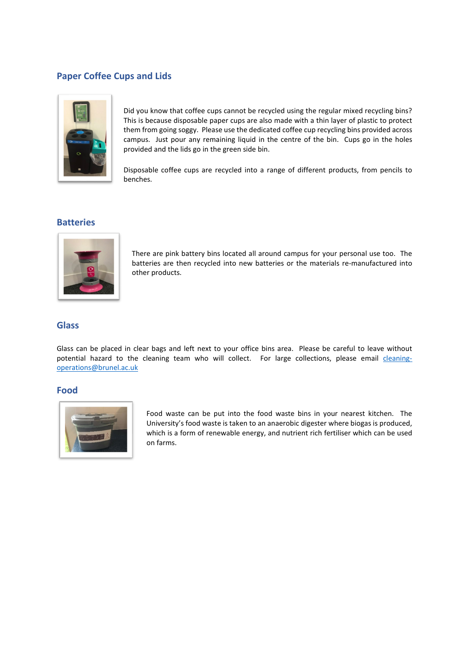#### <span id="page-4-0"></span>**Paper Coffee Cups and Lids**



Did you know that coffee cups cannot be recycled using the regular mixed recycling bins? This is because disposable paper cups are also made with a thin layer of plastic to protect them from going soggy. Please use the dedicated coffee cup recycling bins provided across campus. Just pour any remaining liquid in the centre of the bin. Cups go in the holes provided and the lids go in the green side bin.

Disposable coffee cups are recycled into a range of different products, from pencils to benches.

#### <span id="page-4-1"></span>**Batteries**



There are pink battery bins located all around campus for your personal use too. The batteries are then recycled into new batteries or the materials re-manufactured into other products.

#### <span id="page-4-2"></span>**Glass**

Glass can be placed in clear bags and left next to your office bins area. Please be careful to leave without potential hazard to the cleaning team who will collect. For large collections, please email [cleaning](mailto:cleaning-operations@brunel.ac.uk)[operations@brunel.ac.uk](mailto:cleaning-operations@brunel.ac.uk)

#### <span id="page-4-3"></span>**Food**



Food waste can be put into the food waste bins in your nearest kitchen. The University's food waste is taken to an anaerobic digester where biogas is produced, which is a form of renewable energy, and nutrient rich fertiliser which can be used on farms.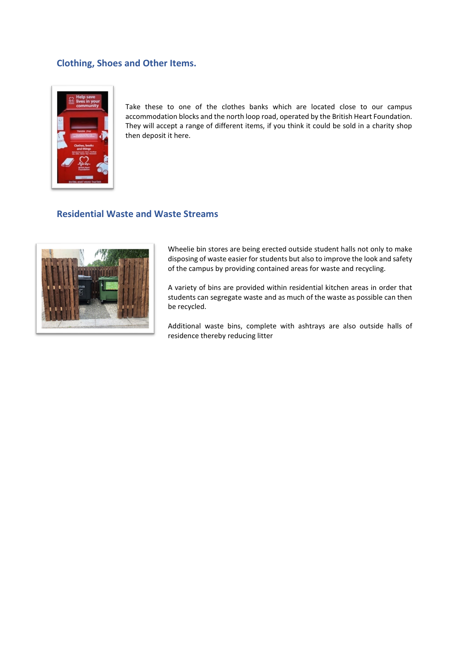#### <span id="page-5-0"></span>**Clothing, Shoes and Other Items.**



Take these to one of the clothes banks which are located close to our campus accommodation blocks and the north loop road, operated by the British Heart Foundation. They will accept a range of different items, if you think it could be sold in a charity shop then deposit it here.

#### <span id="page-5-1"></span>**Residential Waste and Waste Streams**



Wheelie bin stores are being erected outside student halls not only to make disposing of waste easier for students but also to improve the look and safety of the campus by providing contained areas for waste and recycling.

A variety of bins are provided within residential kitchen areas in order that students can segregate waste and as much of the waste as possible can then be recycled.

Additional waste bins, complete with ashtrays are also outside halls of residence thereby reducing litter